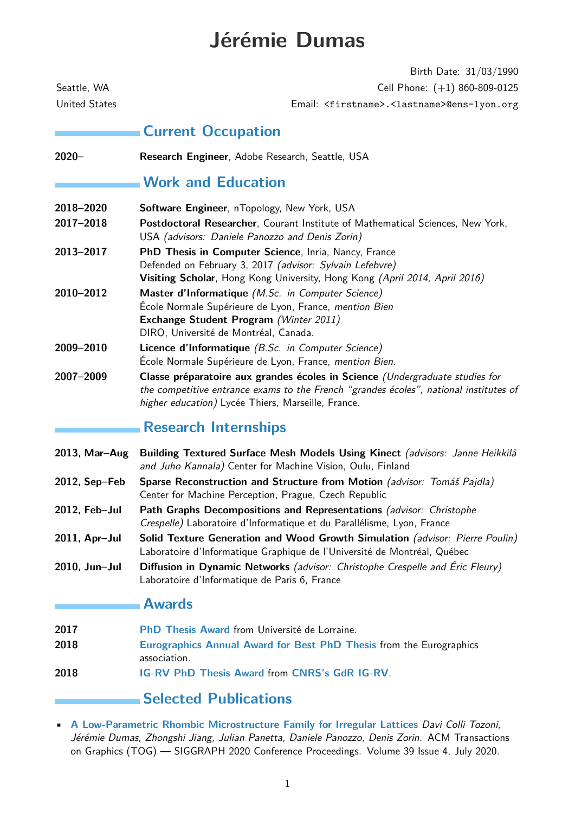# **Jérémie Dumas**

Birth Date: 31/03/1990 Seattle, WA Cell Phone: (+1) 860-809-0125 United States Email: <firstname>.<lastname>@ens-lyon.org **Current Occupation 2020– Research Engineer**, Adobe Research, Seattle, USA **Work and Education 2018–2020 Software Engineer**, nTopology, New York, USA **2017–2018 Postdoctoral Researcher**, Courant Institute of Mathematical Sciences, New York, USA (advisors: Daniele Panozzo and Denis Zorin) **2013–2017 PhD Thesis in Computer Science**, Inria, Nancy, France Defended on February 3, 2017 (advisor: Sylvain Lefebvre) **Visiting Scholar**, Hong Kong University, Hong Kong (April 2014, April 2016) **2010–2012 Master d'Informatique** (M.Sc. in Computer Science) École Normale Supérieure de Lyon, France, mention Bien **Exchange Student Program** (Winter 2011) DIRO, Université de Montréal, Canada. **2009–2010 Licence d'Informatique** (B.Sc. in Computer Science) École Normale Supérieure de Lyon, France, mention Bien. **2007–2009 Classe préparatoire aux grandes écoles in Science** (Undergraduate studies for the competitive entrance exams to the French "grandes écoles", national institutes of

# **Research Internships**

- **2013, Mar–Aug Building Textured Surface Mesh Models Using Kinect** (advisors: Janne Heikkilä and Juho Kannala) Center for Machine Vision, Oulu, Finland
- **2012, Sep–Feb Sparse Reconstruction and Structure from Motion** (advisor: Tomáš Pajdla) Center for Machine Perception, Prague, Czech Republic
- **2012, Feb–Jul Path Graphs Decompositions and Representations** (advisor: Christophe Crespelle) Laboratoire d'Informatique et du Parallélisme, Lyon, France

higher education) Lycée Thiers, Marseille, France.

- **2011, Apr–Jul Solid Texture Generation and Wood Growth Simulation** (advisor: Pierre Poulin) Laboratoire d'Informatique Graphique de l'Université de Montréal, Québec
- **2010, Jun–Jul Diffusion in Dynamic Networks** (advisor: Christophe Crespelle and Éric Fleury) Laboratoire d'Informatique de Paris 6, France

#### **Awards**

- **2017 [PhD Thesis Award](http://www.univ-lorraine.fr/prix-de-these-2017)** from Université de Lorraine.
- **2018 [Eurographics Annual Award for Best PhD Thesis](https://www.eg.org/wp/eurographics-awards-programme/phd-award/)** from the Eurographics association.
- **2018 [IG-RV PhD Thesis Award](https://prixigrv2018.sciencesconf.org/)** from **[CNRS's GdR IG-RV](http://icube-web.unistra.fr/gdr-igrv/index.php/Accueil)**.

# **Selected Publications**

• **[A Low-Parametric Rhombic Microstructure Family for Irregular Lattices](https://cims.nyu.edu/gcl/papers/2020-Quad-Foam.pdf)** Davi Colli Tozoni, Jérémie Dumas, Zhongshi Jiang, Julian Panetta, Daniele Panozzo, Denis Zorin. ACM Transactions on Graphics (TOG) — SIGGRAPH 2020 Conference Proceedings. Volume 39 Issue 4, July 2020.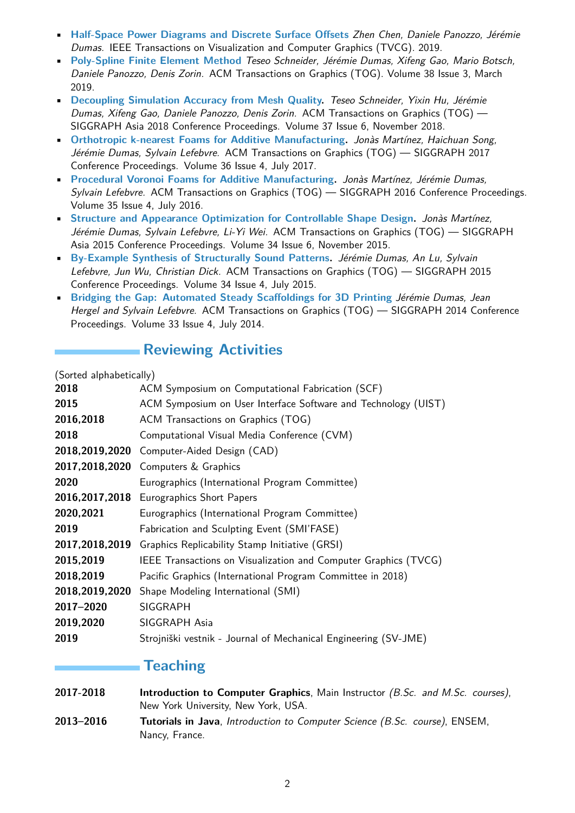- **[Half-Space Power Diagrams and Discrete Surface Offsets](https://doi.org/10.1109/TVCG.2019.2945961)** Zhen Chen, Daniele Panozzo, Jérémie Dumas. IEEE Transactions on Visualization and Computer Graphics (TVCG). 2019.
- **[Poly-Spline Finite Element Method](https://doi.org/10.1145/331379)** Teseo Schneider, Jérémie Dumas, Xifeng Gao, Mario Botsch, Daniele Panozzo, Denis Zorin. ACM Transactions on Graphics (TOG). Volume 38 Issue 3, March 2019.
- **[Decoupling Simulation Accuracy from Mesh Quality.](https://doi.org/10.1145/3272127.3275067)** Teseo Schneider, Yixin Hu, Jérémie Dumas, Xifeng Gao, Daniele Panozzo, Denis Zorin. ACM Transactions on Graphics (TOG) — SIGGRAPH Asia 2018 Conference Proceedings. Volume 37 Issue 6, November 2018.
- **[Orthotropic k-nearest Foams for Additive Manufacturing](https://doi.org/10.1145/3072959.3073638).** Jonàs Martínez, Haichuan Song, Jérémie Dumas, Sylvain Lefebvre. ACM Transactions on Graphics (TOG) — SIGGRAPH 2017 Conference Proceedings. Volume 36 Issue 4, July 2017.
- **[Procedural Voronoi Foams for Additive Manufacturing.](https://dx.doi.org/10.1145/2897824.2925922)** Jonàs Martínez, Jérémie Dumas, Sylvain Lefebvre. ACM Transactions on Graphics (TOG) — SIGGRAPH 2016 Conference Proceedings. Volume 35 Issue 4, July 2016.
- **[Structure and Appearance Optimization for Controllable Shape Design](https://doi.acm.org/10.1145/2816795.2818101).** Jonàs Martínez, Jérémie Dumas, Sylvain Lefebvre, Li-Yi Wei. ACM Transactions on Graphics (TOG) — SIGGRAPH Asia 2015 Conference Proceedings. Volume 34 Issue 6, November 2015.
- **[By-Example Synthesis of Structurally Sound Patterns](https://doi.acm.org/10.1145/2766984).** Jérémie Dumas, An Lu, Sylvain Lefebvre, Jun Wu, Christian Dick. ACM Transactions on Graphics (TOG) — SIGGRAPH 2015 Conference Proceedings. Volume 34 Issue 4, July 2015.
- **[Bridging the Gap: Automated Steady Scaffoldings for 3D Printing](https://dl.acm.org/citation.cfm?doid=2601097.2601153)** Jérémie Dumas, Jean Hergel and Sylvain Lefebvre. ACM Transactions on Graphics (TOG) - SIGGRAPH 2014 Conference Proceedings. Volume 33 Issue 4, July 2014.

# **Reviewing Activities**

(Sorted alphabetically)

| ACM Symposium on Computational Fabrication (SCF)                |
|-----------------------------------------------------------------|
| ACM Symposium on User Interface Software and Technology (UIST)  |
| ACM Transactions on Graphics (TOG)                              |
| Computational Visual Media Conference (CVM)                     |
| Computer-Aided Design (CAD)                                     |
| Computers & Graphics                                            |
| Eurographics (International Program Committee)                  |
| 2016,2017,2018 Eurographics Short Papers                        |
| Eurographics (International Program Committee)                  |
| Fabrication and Sculpting Event (SMI'FASE)                      |
| Graphics Replicability Stamp Initiative (GRSI)                  |
| IEEE Transactions on Visualization and Computer Graphics (TVCG) |
| Pacific Graphics (International Program Committee in 2018)      |
| Shape Modeling International (SMI)                              |
| SIGGRAPH                                                        |
| SIGGRAPH Asia                                                   |
| Strojniški vestnik - Journal of Mechanical Engineering (SV-JME) |
|                                                                 |

#### **Teaching**

- **2017-2018 Introduction to Computer Graphics**, Main Instructor (B.Sc. and M.Sc. courses), New York University, New York, USA.
- **2013–2016 Tutorials in Java**, Introduction to Computer Science (B.Sc. course), ENSEM, Nancy, France.